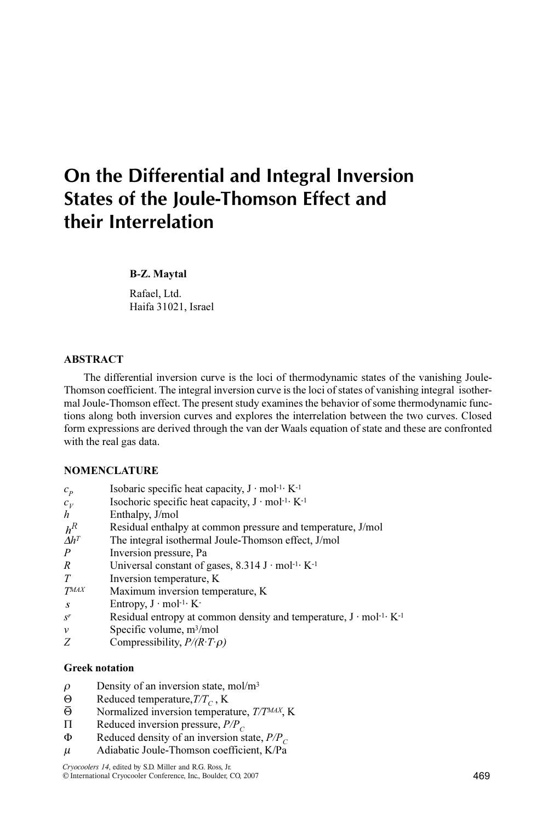# On the Differential and Integral Inversion States of the Joule-Thomson Effect and their Interrelation

#### B-Z. Maytal

Rafael, Ltd. Haifa 31021, Israel

# ABSTRACT

The differential inversion curve is the loci of thermodynamic states of the vanishing Joule-Thomson coefficient. The integral inversion curve is the loci of states of vanishing integral isothermal Joule-Thomson effect. The present study examines the behavior of some thermodynamic functions along both inversion curves and explores the interrelation between the two curves. Closed form expressions are derived through the van der Waals equation of state and these are confronted with the real gas data.

# **NOMENCLATURE**

| $c_{p}$                              | Isobaric specific heat capacity, $J \cdot \text{mol}^{-1} \cdot K^{-1}$                  |
|--------------------------------------|------------------------------------------------------------------------------------------|
| $c_{V}$                              | Isochoric specific heat capacity, $J \cdot mol^{-1}$ K <sup>-1</sup>                     |
| h                                    | Enthalpy, J/mol                                                                          |
| $h^R$                                | Residual enthalpy at common pressure and temperature, J/mol                              |
| $\varDelta h^{\scriptscriptstyle T}$ | The integral isothermal Joule-Thomson effect, J/mol                                      |
| P                                    | Inversion pressure, Pa                                                                   |
| R                                    | Universal constant of gases, $8.314 \text{ J} \cdot \text{mol}^{-1} \cdot \text{K}^{-1}$ |
| T                                    | Inversion temperature, K                                                                 |
| <b>TMAX</b>                          | Maximum inversion temperature, K                                                         |
| $\boldsymbol{S}$                     | Entropy, $J \cdot \text{mol}^{-1} \cdot K^{-}$                                           |
| $S^r$                                | Residual entropy at common density and temperature, $J \cdot mol^{-1}$ K <sup>-1</sup>   |
| ν                                    | Specific volume, $m^3/mol$                                                               |
|                                      |                                                                                          |

Z Compressibility,  $P/(R \cdot T \cdot \rho)$ 

### Greek notation

- $\rho$  Density of an inversion state, mol/m<sup>3</sup>
- $\Theta$  Reduced temperature,  $T/T_C$ , K<br>  $\overline{\Theta}$  Normalized inversion tempera
- Normalized inversion temperature, T/TMAX, K
- $\Pi$  Reduced inversion pressure,  $P/P_C$ <br>  $\Phi$  Reduced density of an inversion st
- Reduced density of an inversion state,  $P/P<sub>C</sub>$
- $\mu$  Adiabatic Joule-Thomson coefficient, K/Pa

*Cryocoolers 14*, edited by S.D. Miller and R.G. Ross, Jr. ©¶International Cryocooler Conference, Inc., Boulder, CO, 2007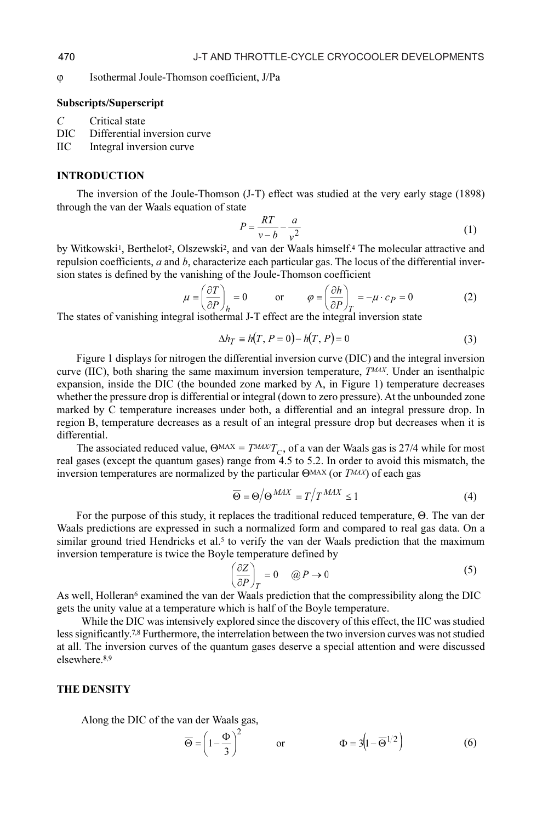M Isothermal Joule-Thomson coefficient, J/Pa

#### Subscripts/Superscript

 $C$  Critical state<br>DIC Differential i

- Differential inversion curve
- IIC Integral inversion curve

#### INTRODUCTION

The inversion of the Joule-Thomson (J-T) effect was studied at the very early stage (1898) through the van der Waals equation of state

$$
P = \frac{RT}{v - b} - \frac{a}{v^2} \tag{1}
$$

by Witkowski<sup>1</sup>, Berthelot<sup>2</sup>, Olszewski<sup>2</sup>, and van der Waals himself.<sup>4</sup> The molecular attractive and repulsion coefficients, a and b, characterize each particular gas. The locus of the differential inversion states is defined by the vanishing of the Joule-Thomson coefficient

$$
\mu \equiv \left(\frac{\partial T}{\partial P}\right)_h = 0 \qquad \text{or} \qquad \varphi \equiv \left(\frac{\partial h}{\partial P}\right)_T = -\mu \cdot c_P = 0 \tag{2}
$$

The states of vanishing integral isothermal J-T effect are the integral inversion state

$$
\Delta h_T = h(T, P = 0) - h(T, P) = 0 \tag{3}
$$

Figure 1 displays for nitrogen the differential inversion curve (DIC) and the integral inversion curve (IIC), both sharing the same maximum inversion temperature,  $T^{MAX}$ . Under an isenthalpic expansion, inside the DIC (the bounded zone marked by A, in Figure 1) temperature decreases whether the pressure drop is differential or integral (down to zero pressure). At the unbounded zone marked by C temperature increases under both, a differential and an integral pressure drop. In region B, temperature decreases as a result of an integral pressure drop but decreases when it is differential.

The associated reduced value,  $\Theta$ <sup>MAX</sup> =  $T$ <sup>MAX</sup> $T_c$ , of a van der Waals gas is 27/4 while for most real gases (except the quantum gases) range from 4.5 to 5.2. In order to avoid this mismatch, the inversion temperatures are normalized by the particular  $\Theta^{MAX}$  (or  $T^{MAX}$ ) of each gas

$$
\overline{\Theta} = \Theta / \Theta^{MAX} = T / T^{MAX} \le 1 \tag{4}
$$

For the purpose of this study, it replaces the traditional reduced temperature,  $\Theta$ . The van der Waals predictions are expressed in such a normalized form and compared to real gas data. On a similar ground tried Hendricks et al.<sup>5</sup> to verify the van der Waals prediction that the maximum inversion temperature is twice the Boyle temperature defined by

$$
\left(\frac{\partial Z}{\partial P}\right)_T = 0 \quad \text{(a) } P \to 0 \tag{5}
$$

As well, Holleran<sup>6</sup> examined the van der Waals prediction that the compressibility along the DIC gets the unity value at a temperature which is half of the Boyle temperature.

While the DIC was intensively explored since the discovery of this effect, the IIC was studied less significantly.7,8 Furthermore, the interrelation between the two inversion curves was not studied at all. The inversion curves of the quantum gases deserve a special attention and were discussed elsewhere.8,9

# THE DENSITY

Along the DIC of the van der Waals gas,

$$
\overline{\Theta} = \left(1 - \frac{\Phi}{3}\right)^2 \qquad \text{or} \qquad \Phi = 3\left(1 - \overline{\Theta}^{1/2}\right) \tag{6}
$$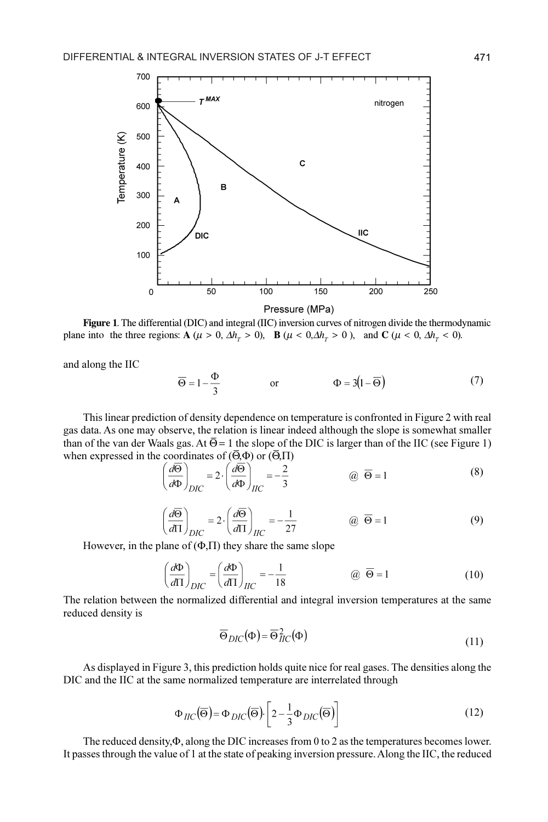

Figure 1. The differential (DIC) and integral (IIC) inversion curves of nitrogen divide the thermodynamic plane into the three regions:  $\mathbf{A}$  ( $\mu > 0$ ,  $\Delta h_r > 0$ ),  $\mathbf{B}$  ( $\mu < 0$ ,  $\Delta h_r > 0$ ), and  $\mathbf{C}$  ( $\mu < 0$ ,  $\Delta h_r < 0$ ).

and along the IIC

$$
\overline{\Theta} = 1 - \frac{\Phi}{3} \qquad \text{or} \qquad \Phi = 3(1 - \overline{\Theta}) \tag{7}
$$

This linear prediction of density dependence on temperature is confronted in Figure 2 with real gas data. As one may observe, the relation is linear indeed although the slope is somewhat smaller than of the van der Waals gas. At  $\overline{\Theta} = 1$  the slope of the DIC is larger than of the IIC (see Figure 1) when expressed in the coordinates of  $(\overline{\Theta}, \Phi)$  or  $(\overline{\Theta}, \Pi)$ 

$$
\left(\frac{d\overline{\Theta}}{d\Phi}\right)_{DIC} = 2 \cdot \left(\frac{d\overline{\Theta}}{d\Phi}\right)_{IIC} = -\frac{2}{3} \qquad \qquad \textcircled{a} \quad \overline{\Theta} = 1 \tag{8}
$$

$$
\left(\frac{d\overline{\Theta}}{d\Pi}\right)_{DIC} = 2 \cdot \left(\frac{d\overline{\Theta}}{d\Pi}\right)_{IIC} = -\frac{1}{27} \qquad \qquad \textcircled{B} = 1 \tag{9}
$$

However, in the plane of  $(\Phi,\Pi)$  they share the same slope

$$
\left(\frac{d\Phi}{d\Pi}\right)_{DIC} = \left(\frac{d\Phi}{d\Pi}\right)_{IIC} = -\frac{1}{18} \qquad \qquad @\ \overline{\Theta} = 1 \tag{10}
$$

The relation between the normalized differential and integral inversion temperatures at the same reduced density is

$$
\overline{\Theta}_{DIC}(\Phi) = \overline{\Theta}_{IIC}^2(\Phi)
$$
\n(11)

As displayed in Figure 3, this prediction holds quite nice for real gases. The densities along the DIC and the IIC at the same normalized temperature are interrelated through

$$
\Phi_{IIC}(\overline{\Theta}) = \Phi_{DIC}(\overline{\Theta}) \cdot \left[ 2 - \frac{1}{3} \Phi_{DIC}(\overline{\Theta}) \right]
$$
\n(12)

The reduced density, $\Phi$ , along the DIC increases from 0 to 2 as the temperatures becomes lower. It passes through the value of 1 at the state of peaking inversion pressure. Along the IIC, the reduced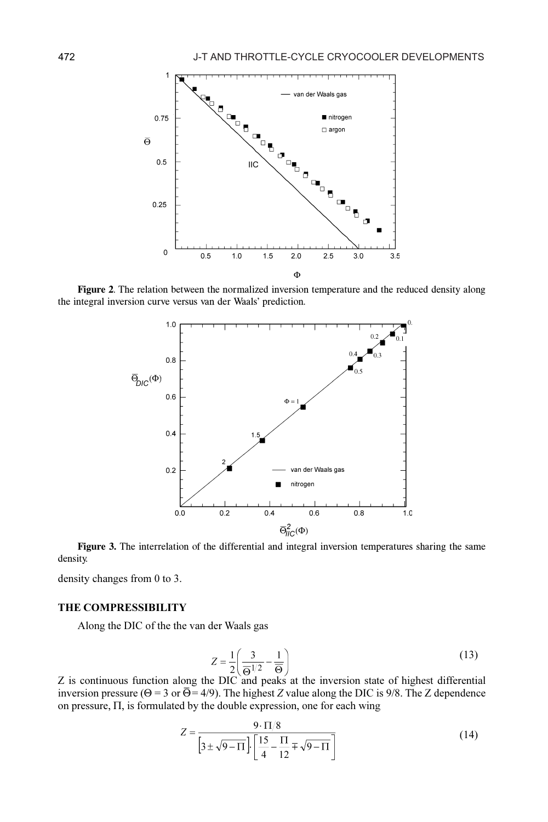

Figure 2. The relation between the normalized inversion temperature and the reduced density along the integral inversion curve versus van der Waals' prediction.



Figure 3. The interrelation of the differential and integral inversion temperatures sharing the same density.

density changes from 0 to 3.

# THE COMPRESSIBILITY

Along the DIC of the the van der Waals gas

$$
Z = \frac{1}{2} \left( \frac{3}{\Theta^{1/2}} - \frac{1}{\Theta} \right) \tag{13}
$$

Z is continuous function along the DIC and peaks at the inversion state of highest differential inversion pressure ( $\Theta$  = 3 or  $\overline{\Theta}$  = 4/9). The highest Z value along the DIC is 9/8. The Z dependence on pressure,  $\Pi$ , is formulated by the double expression, one for each wing

$$
Z = \frac{9 \cdot \Pi/8}{\left[3 \pm \sqrt{9 - \Pi}\right] \left[\frac{15}{4} - \frac{\Pi}{12} \mp \sqrt{9 - \Pi}\right]}
$$
(14)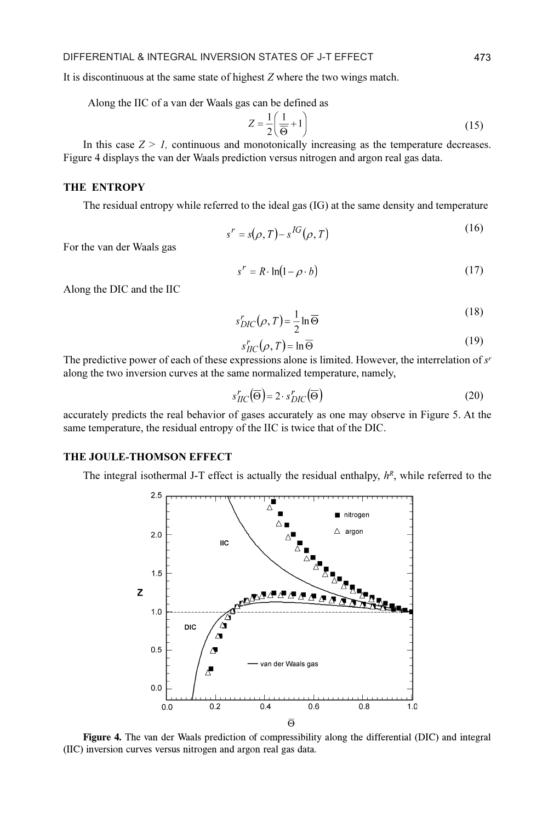It is discontinuous at the same state of highest Z where the two wings match.

Along the IIC of a van der Waals gas can be defined as

$$
Z = \frac{1}{2} \left( \frac{1}{\Theta} + 1 \right) \tag{15}
$$

In this case  $Z > 1$ , continuous and monotonically increasing as the temperature decreases. Figure 4 displays the van der Waals prediction versus nitrogen and argon real gas data.

## THE ENTROPY

The residual entropy while referred to the ideal gas (IG) at the same density and temperature

$$
s^r = s(\rho, T) - s^{IG}(\rho, T) \tag{16}
$$

For the van der Waals gas

$$
s' = R \cdot \ln(1 - \rho \cdot b) \tag{17}
$$

Along the DIC and the IIC

$$
s_{DIC}^r(\rho, T) = \frac{1}{2} \ln \overline{\Theta}
$$
\n(18)

$$
s_{HC}^r(\rho, T) = \ln \overline{\Theta} \tag{19}
$$

The predictive power of each of these expressions alone is limited. However, the interrelation of  $s<sup>r</sup>$ along the two inversion curves at the same normalized temperature, namely,

$$
s_{\text{HC}}^r(\overline{\Theta}) = 2 \cdot s_{\text{DIC}}^r(\overline{\Theta}) \tag{20}
$$

accurately predicts the real behavior of gases accurately as one may observe in Figure 5. At the same temperature, the residual entropy of the IIC is twice that of the DIC.

#### THE JOULE-THOMSON EFFECT

The integral isothermal J-T effect is actually the residual enthalpy,  $h<sup>R</sup>$ , while referred to the



Figure 4. The van der Waals prediction of compressibility along the differential (DIC) and integral (IIC) inversion curves versus nitrogen and argon real gas data.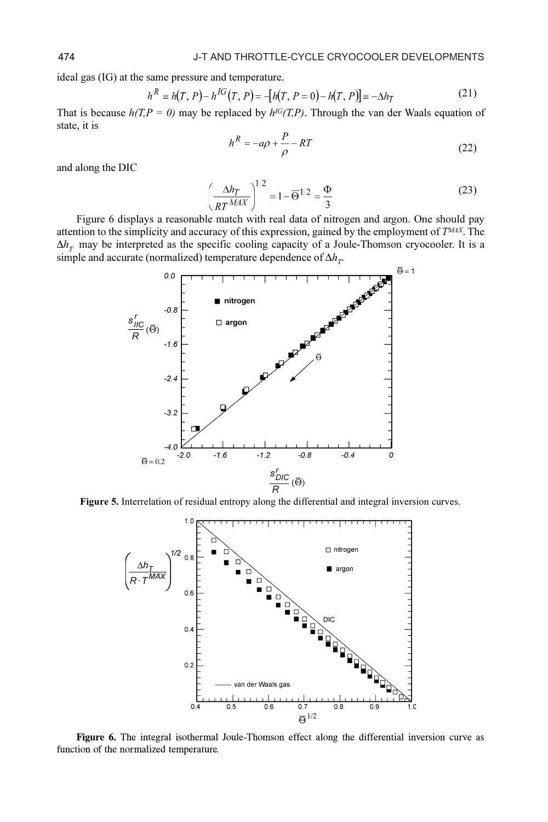ideal gas (IG) at the same pressure and temperature.

$$
h^{R} = h(T, P) - h^{IG}(T, P) = -[h(T, P = 0) - h(T, P)] = -\Delta h_{T}
$$
\n(21)

That is because  $h(T, P = 0)$  may be replaced by  $h^{IG}(T, P)$ . Through the van der Waals equation of state, it is

$$
h^R = -a\rho + \frac{P}{\rho} - RT \tag{22}
$$

and along the DIC

$$
\left(\frac{\Delta h_T}{RT^{MAX}}\right)^{1/2} = 1 - \overline{\Theta}^{1/2} = \frac{\Phi}{3}
$$
 (23)

Figure 6 displays a reasonable match with real data of nitrogen and argon. One should pay attention to the simplicity and accuracy of this expression, gained by the employment of  $T^{MAX}$ . The  $\Delta h_{\tau}$  may be interpreted as the specific cooling capacity of a Joule-Thomson cryocooler. It is a simple and accurate (normalized) temperature dependence of  $\Delta h_T$ .



Figure 5. Interrelation of residual entropy along the differential and integral inversion curves.



Figure 6. The integral isothermal Joule-Thomson effect along the differential inversion curve as function of the normalized temperature.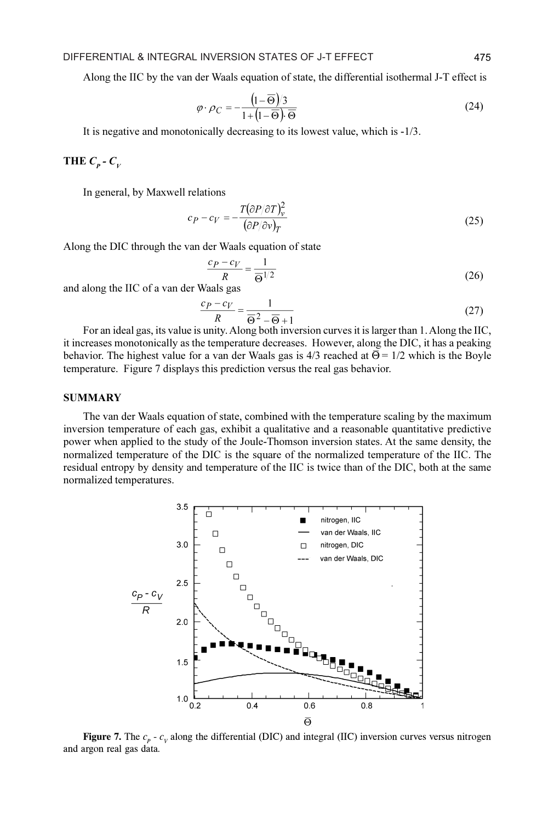Along the IIC by the van der Waals equation of state, the differential isothermal J-T effect is

$$
\varphi \cdot \rho_C = -\frac{\left(1 - \overline{\Theta}\right)/3}{1 + \left(1 - \overline{\Theta}\right) \cdot \overline{\Theta}}
$$
(24)

It is negative and monotonically decreasing to its lowest value, which is -1/3.

# THE  $C_p$  -  $C_v$

In general, by Maxwell relations

$$
c_P - c_V = -\frac{T(\partial P/\partial T)^2_V}{(\partial P/\partial v)_T}
$$
\n(25)

Along the DIC through the van der Waals equation of state

$$
\frac{c_P - c_V}{R} = \frac{1}{\Theta^{1/2}}
$$
 (26)

and along the IIC of a van der Waals gas

$$
\frac{c_P - c_V}{R} = \frac{1}{\overline{\Theta}^2 - \overline{\Theta} + 1} \tag{27}
$$

For an ideal gas, its value is unity. Along both inversion curves it is larger than 1. Along the IIC, it increases monotonically as the temperature decreases. However, along the DIC, it has a peaking behavior. The highest value for a van der Waals gas is  $4/3$  reached at  $\overline{\Theta} = 1/2$  which is the Boyle temperature. Figure 7 displays this prediction versus the real gas behavior.

#### SUMMARY

The van der Waals equation of state, combined with the temperature scaling by the maximum inversion temperature of each gas, exhibit a qualitative and a reasonable quantitative predictive power when applied to the study of the Joule-Thomson inversion states. At the same density, the normalized temperature of the DIC is the square of the normalized temperature of the IIC. The residual entropy by density and temperature of the IIC is twice than of the DIC, both at the same normalized temperatures.



Figure 7. The  $c_p$  -  $c_v$  along the differential (DIC) and integral (IIC) inversion curves versus nitrogen and argon real gas data.